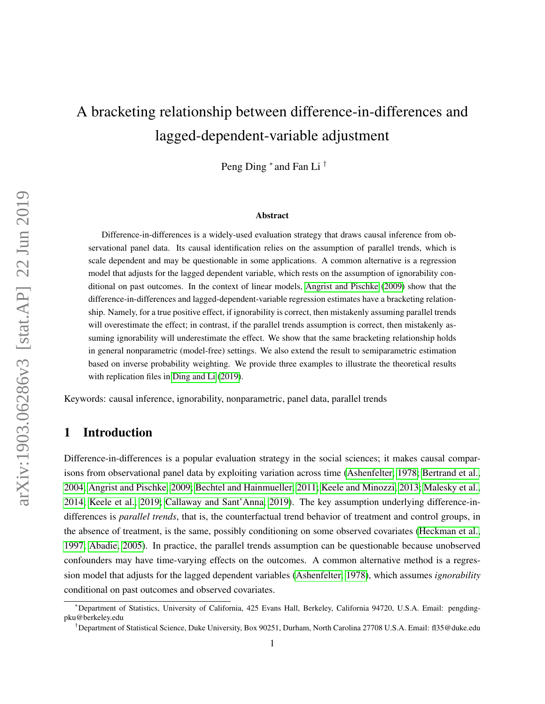# A bracketing relationship between difference-in-differences and lagged-dependent-variable adjustment

Peng Ding <sup>∗</sup> and Fan Li †

#### Abstract

Difference-in-differences is a widely-used evaluation strategy that draws causal inference from observational panel data. Its causal identification relies on the assumption of parallel trends, which is scale dependent and may be questionable in some applications. A common alternative is a regression model that adjusts for the lagged dependent variable, which rests on the assumption of ignorability conditional on past outcomes. In the context of linear models, [Angrist and Pischke](#page-12-0) [\(2009\)](#page-12-0) show that the difference-in-differences and lagged-dependent-variable regression estimates have a bracketing relationship. Namely, for a true positive effect, if ignorability is correct, then mistakenly assuming parallel trends will overestimate the effect; in contrast, if the parallel trends assumption is correct, then mistakenly assuming ignorability will underestimate the effect. We show that the same bracketing relationship holds in general nonparametric (model-free) settings. We also extend the result to semiparametric estimation based on inverse probability weighting. We provide three examples to illustrate the theoretical results with replication files in [Ding and Li](#page-12-1) [\(2019\)](#page-12-1).

Keywords: causal inference, ignorability, nonparametric, panel data, parallel trends

# 1 Introduction

Difference-in-differences is a popular evaluation strategy in the social sciences; it makes causal comparisons from observational panel data by exploiting variation across time [\(Ashenfelter, 1978;](#page-12-2) [Bertrand et al.,](#page-12-3) [2004;](#page-12-3) [Angrist and Pischke, 2009;](#page-12-0) [Bechtel and Hainmueller, 2011;](#page-12-4) [Keele and Minozzi, 2013;](#page-12-5) [Malesky et al.,](#page-13-0) [2014;](#page-13-0) [Keele et al., 2019;](#page-12-6) [Callaway and Sant'Anna, 2019\)](#page-12-7). The key assumption underlying difference-indifferences is *parallel trends*, that is, the counterfactual trend behavior of treatment and control groups, in the absence of treatment, is the same, possibly conditioning on some observed covariates [\(Heckman et al.,](#page-12-8) [1997;](#page-12-8) [Abadie, 2005\)](#page-11-0). In practice, the parallel trends assumption can be questionable because unobserved confounders may have time-varying effects on the outcomes. A common alternative method is a regression model that adjusts for the lagged dependent variables [\(Ashenfelter, 1978\)](#page-12-2), which assumes *ignorability* conditional on past outcomes and observed covariates.

<sup>∗</sup>Department of Statistics, University of California, 425 Evans Hall, Berkeley, California 94720, U.S.A. Email: pengdingpku@berkeley.edu

<sup>†</sup>Department of Statistical Science, Duke University, Box 90251, Durham, North Carolina 27708 U.S.A. Email: fl35@duke.edu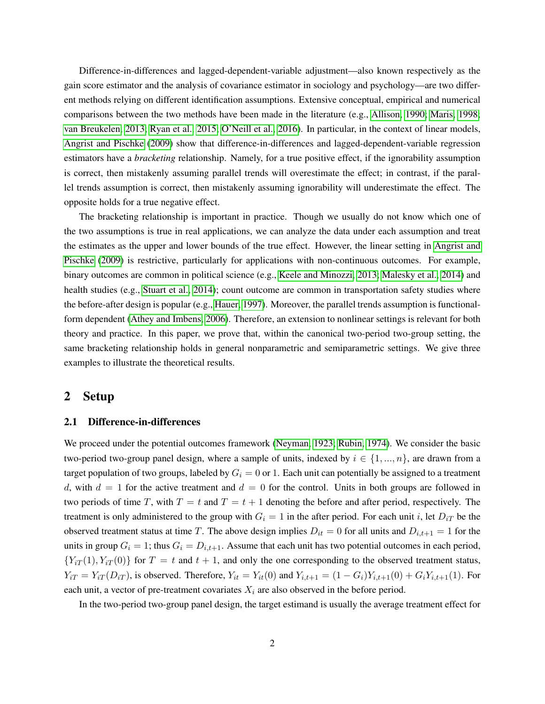Difference-in-differences and lagged-dependent-variable adjustment—also known respectively as the gain score estimator and the analysis of covariance estimator in sociology and psychology—are two different methods relying on different identification assumptions. Extensive conceptual, empirical and numerical comparisons between the two methods have been made in the literature (e.g., [Allison, 1990;](#page-12-9) [Maris, 1998;](#page-13-1) [van Breukelen, 2013;](#page-13-2) [Ryan et al., 2015;](#page-13-3) [O'Neill et al., 2016\)](#page-13-4). In particular, in the context of linear models, [Angrist and Pischke](#page-12-0) [\(2009\)](#page-12-0) show that difference-in-differences and lagged-dependent-variable regression estimators have a *bracketing* relationship. Namely, for a true positive effect, if the ignorability assumption is correct, then mistakenly assuming parallel trends will overestimate the effect; in contrast, if the parallel trends assumption is correct, then mistakenly assuming ignorability will underestimate the effect. The opposite holds for a true negative effect.

The bracketing relationship is important in practice. Though we usually do not know which one of the two assumptions is true in real applications, we can analyze the data under each assumption and treat the estimates as the upper and lower bounds of the true effect. However, the linear setting in [Angrist and](#page-12-0) [Pischke](#page-12-0) [\(2009\)](#page-12-0) is restrictive, particularly for applications with non-continuous outcomes. For example, binary outcomes are common in political science (e.g., [Keele and Minozzi, 2013;](#page-12-5) [Malesky et al., 2014\)](#page-13-0) and health studies (e.g., [Stuart et al., 2014\)](#page-13-5); count outcome are common in transportation safety studies where the before-after design is popular (e.g., [Hauer, 1997\)](#page-12-10). Moreover, the parallel trends assumption is functionalform dependent [\(Athey and Imbens, 2006\)](#page-12-11). Therefore, an extension to nonlinear settings is relevant for both theory and practice. In this paper, we prove that, within the canonical two-period two-group setting, the same bracketing relationship holds in general nonparametric and semiparametric settings. We give three examples to illustrate the theoretical results.

## 2 Setup

## 2.1 Difference-in-differences

We proceed under the potential outcomes framework [\(Neyman, 1923;](#page-13-6) [Rubin, 1974\)](#page-13-7). We consider the basic two-period two-group panel design, where a sample of units, indexed by  $i \in \{1, ..., n\}$ , are drawn from a target population of two groups, labeled by  $G_i = 0$  or 1. Each unit can potentially be assigned to a treatment d, with  $d = 1$  for the active treatment and  $d = 0$  for the control. Units in both groups are followed in two periods of time T, with  $T = t$  and  $T = t + 1$  denoting the before and after period, respectively. The treatment is only administered to the group with  $G_i = 1$  in the after period. For each unit i, let  $D_{iT}$  be the observed treatment status at time T. The above design implies  $D_{it} = 0$  for all units and  $D_{i,t+1} = 1$  for the units in group  $G_i = 1$ ; thus  $G_i = D_{i,t+1}$ . Assume that each unit has two potential outcomes in each period,  ${Y_{iT}(1), Y_{iT}(0)}$  for  $T = t$  and  $t + 1$ , and only the one corresponding to the observed treatment status,  $Y_{iT} = Y_{iT}(D_{iT})$ , is observed. Therefore,  $Y_{it} = Y_{it}(0)$  and  $Y_{i,t+1} = (1 - G_i)Y_{i,t+1}(0) + G_i Y_{i,t+1}(1)$ . For each unit, a vector of pre-treatment covariates  $X_i$  are also observed in the before period.

In the two-period two-group panel design, the target estimand is usually the average treatment effect for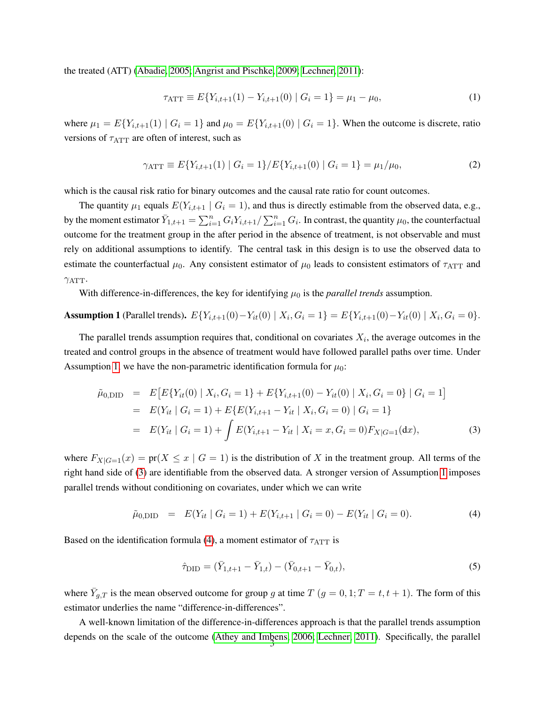the treated (ATT) [\(Abadie, 2005;](#page-11-0) [Angrist and Pischke, 2009;](#page-12-0) [Lechner, 2011\)](#page-12-12):

$$
\tau_{\text{ATT}} \equiv E\{Y_{i,t+1}(1) - Y_{i,t+1}(0) \mid G_i = 1\} = \mu_1 - \mu_0,\tag{1}
$$

where  $\mu_1 = E\{Y_{i,t+1}(1) \mid G_i = 1\}$  and  $\mu_0 = E\{Y_{i,t+1}(0) \mid G_i = 1\}$ . When the outcome is discrete, ratio versions of  $\tau_{\text{ATT}}$  are often of interest, such as

$$
\gamma_{\text{ATT}} \equiv E\{Y_{i,t+1}(1) \mid G_i = 1\} / E\{Y_{i,t+1}(0) \mid G_i = 1\} = \mu_1 / \mu_0,\tag{2}
$$

which is the causal risk ratio for binary outcomes and the causal rate ratio for count outcomes.

The quantity  $\mu_1$  equals  $E(Y_{i,t+1} | G_i = 1)$ , and thus is directly estimable from the observed data, e.g., by the moment estimator  $\bar{Y}_{1,t+1} = \sum_{i=1}^n G_i Y_{i,t+1}/\sum_{i=1}^n G_i$ . In contrast, the quantity  $\mu_0$ , the counterfactual outcome for the treatment group in the after period in the absence of treatment, is not observable and must rely on additional assumptions to identify. The central task in this design is to use the observed data to estimate the counterfactual  $\mu_0$ . Any consistent estimator of  $\mu_0$  leads to consistent estimators of  $\tau_{\text{ATT}}$  and  $\gamma_{\text{ATT}}$ .

With difference-in-differences, the key for identifying  $\mu_0$  is the *parallel trends* assumption.

<span id="page-2-0"></span>**Assumption 1** (Parallel trends). 
$$
E{Y_{i,t+1}(0) - Y_{it}(0) | X_i, G_i = 1} = E{Y_{i,t+1}(0) - Y_{it}(0) | X_i, G_i = 0}.
$$

The parallel trends assumption requires that, conditional on covariates  $X_i$ , the average outcomes in the treated and control groups in the absence of treatment would have followed parallel paths over time. Under Assumption [1,](#page-2-0) we have the non-parametric identification formula for  $\mu_0$ :

<span id="page-2-1"></span>
$$
\tilde{\mu}_{0,\text{DID}} = E\left[E\{Y_{it}(0) \mid X_i, G_i = 1\} + E\{Y_{i,t+1}(0) - Y_{it}(0) \mid X_i, G_i = 0\} \mid G_i = 1\right]
$$
\n
$$
= E(Y_{it} \mid G_i = 1) + E\{E(Y_{i,t+1} - Y_{it} \mid X_i, G_i = 0) \mid G_i = 1\}
$$
\n
$$
= E(Y_{it} \mid G_i = 1) + \int E(Y_{i,t+1} - Y_{it} \mid X_i = x, G_i = 0) F_{X|G=1}(dx),
$$
\n(3)

where  $F_{X|G=1}(x) = \text{pr}(X \leq x \mid G=1)$  is the distribution of X in the treatment group. All terms of the right hand side of [\(3\)](#page-2-1) are identifiable from the observed data. A stronger version of Assumption [1](#page-2-0) imposes parallel trends without conditioning on covariates, under which we can write

<span id="page-2-2"></span>
$$
\tilde{\mu}_{0,\text{DID}} = E(Y_{it} | G_i = 1) + E(Y_{i,t+1} | G_i = 0) - E(Y_{it} | G_i = 0). \tag{4}
$$

Based on the identification formula [\(4\)](#page-2-2), a moment estimator of  $\tau_{\text{ATT}}$  is

<span id="page-2-3"></span>
$$
\hat{\tau}_{\text{DID}} = (\bar{Y}_{1,t+1} - \bar{Y}_{1,t}) - (\bar{Y}_{0,t+1} - \bar{Y}_{0,t}),\tag{5}
$$

where  $\bar{Y}_{g,T}$  is the mean observed outcome for group g at time  $T$   $(g = 0, 1; T = t, t + 1)$ . The form of this estimator underlies the name "difference-in-differences".

A well-known limitation of the difference-in-differences approach is that the parallel trends assumption depends on the scale of the outcome [\(Athey and Imbens, 2006;](#page-12-11) [Lechner, 2011\)](#page-12-12). Specifically, the parallel 3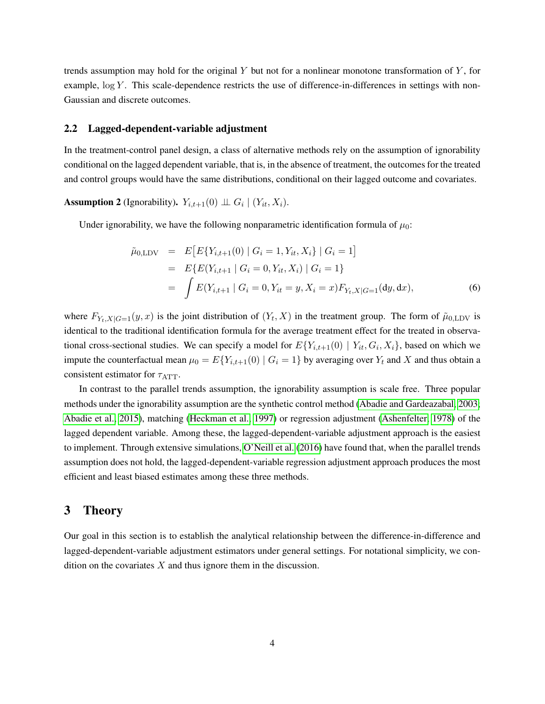trends assumption may hold for the original  $Y$  but not for a nonlinear monotone transformation of  $Y$ , for example,  $\log Y$ . This scale-dependence restricts the use of difference-in-differences in settings with non-Gaussian and discrete outcomes.

#### 2.2 Lagged-dependent-variable adjustment

In the treatment-control panel design, a class of alternative methods rely on the assumption of ignorability conditional on the lagged dependent variable, that is, in the absence of treatment, the outcomes for the treated and control groups would have the same distributions, conditional on their lagged outcome and covariates.

<span id="page-3-1"></span>**Assumption 2** (Ignorability).  $Y_{i,t+1}(0) \perp \!\!\! \perp G_i \mid (Y_{it}, X_i)$ .

Under ignorability, we have the following nonparametric identification formula of  $\mu_0$ :

<span id="page-3-0"></span>
$$
\tilde{\mu}_{0,\text{LDV}} = E\big[E\{Y_{i,t+1}(0) \mid G_i = 1, Y_{it}, X_i\} \mid G_i = 1\big]
$$
\n
$$
= E\{E(Y_{i,t+1} \mid G_i = 0, Y_{it}, X_i) \mid G_i = 1\}
$$
\n
$$
= \int E(Y_{i,t+1} \mid G_i = 0, Y_{it} = y, X_i = x) F_{Y_{t}, X \mid G=1}(dy, dx), \tag{6}
$$

where  $F_{Y_t,X|G=1}(y,x)$  is the joint distribution of  $(Y_t,X)$  in the treatment group. The form of  $\tilde{\mu}_{0,\text{LDV}}$  is identical to the traditional identification formula for the average treatment effect for the treated in observational cross-sectional studies. We can specify a model for  $E\{Y_{i,t+1}(0) \mid Y_{it}, G_i, X_i\}$ , based on which we impute the counterfactual mean  $\mu_0 = E\{Y_{i,t+1}(0) \mid G_i = 1\}$  by averaging over  $Y_t$  and X and thus obtain a consistent estimator for  $\tau_{\text{ATT}}$ .

In contrast to the parallel trends assumption, the ignorability assumption is scale free. Three popular methods under the ignorability assumption are the synthetic control method [\(Abadie and Gardeazabal, 2003;](#page-11-1) [Abadie et al., 2015\)](#page-11-2), matching [\(Heckman et al., 1997\)](#page-12-8) or regression adjustment [\(Ashenfelter, 1978\)](#page-12-2) of the lagged dependent variable. Among these, the lagged-dependent-variable adjustment approach is the easiest to implement. Through extensive simulations, [O'Neill et al.](#page-13-4) [\(2016\)](#page-13-4) have found that, when the parallel trends assumption does not hold, the lagged-dependent-variable regression adjustment approach produces the most efficient and least biased estimates among these three methods.

# 3 Theory

Our goal in this section is to establish the analytical relationship between the difference-in-difference and lagged-dependent-variable adjustment estimators under general settings. For notational simplicity, we condition on the covariates  $X$  and thus ignore them in the discussion.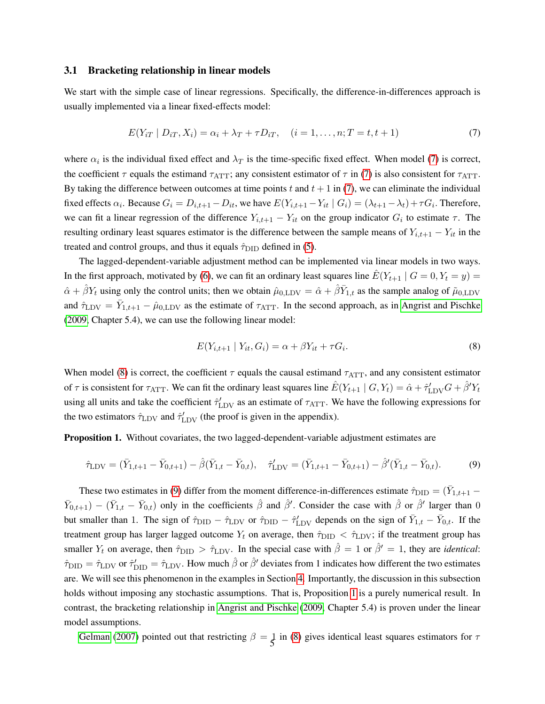## <span id="page-4-4"></span>3.1 Bracketing relationship in linear models

We start with the simple case of linear regressions. Specifically, the difference-in-differences approach is usually implemented via a linear fixed-effects model:

<span id="page-4-0"></span>
$$
E(Y_{iT} | D_{iT}, X_i) = \alpha_i + \lambda_T + \tau D_{iT}, \quad (i = 1, \dots, n; T = t, t + 1)
$$
\n(7)

where  $\alpha_i$  is the individual fixed effect and  $\lambda_T$  is the time-specific fixed effect. When model [\(7\)](#page-4-0) is correct, the coefficient  $\tau$  equals the estimand  $\tau_{\text{ATT}}$ ; any consistent estimator of  $\tau$  in [\(7\)](#page-4-0) is also consistent for  $\tau_{\text{ATT}}$ . By taking the difference between outcomes at time points t and  $t + 1$  in [\(7\)](#page-4-0), we can eliminate the individual fixed effects  $\alpha_i$ . Because  $G_i = D_{i,t+1} - D_{it}$ , we have  $E(Y_{i,t+1} - Y_{it} \mid G_i) = (\lambda_{t+1} - \lambda_t) + \tau G_i$ . Therefore, we can fit a linear regression of the difference  $Y_{i,t+1} - Y_{it}$  on the group indicator  $G_i$  to estimate  $\tau$ . The resulting ordinary least squares estimator is the difference between the sample means of  $Y_{i,t+1} - Y_{it}$  in the treated and control groups, and thus it equals  $\hat{\tau}_{\text{DID}}$  defined in [\(5\)](#page-2-3).

The lagged-dependent-variable adjustment method can be implemented via linear models in two ways. In the first approach, motivated by [\(6\)](#page-3-0), we can fit an ordinary least squares line  $\hat{E}(Y_{t+1} | G = 0, Y_t = y)$  $\hat{\alpha} + \hat{\beta} Y_t$  using only the control units; then we obtain  $\hat{\mu}_{0,\text{LDV}} = \hat{\alpha} + \hat{\beta} \bar{Y}_{1,t}$  as the sample analog of  $\tilde{\mu}_{0,\text{LDV}}$ and  $\hat{\tau}_{\text{LDV}} = \bar{Y}_{1,t+1} - \hat{\mu}_{0,\text{LDV}}$  as the estimate of  $\tau_{\text{ATT}}$ . In the second approach, as in [Angrist and Pischke](#page-12-0) [\(2009,](#page-12-0) Chapter 5.4), we can use the following linear model:

<span id="page-4-1"></span>
$$
E(Y_{i,t+1} \mid Y_{it}, G_i) = \alpha + \beta Y_{it} + \tau G_i. \tag{8}
$$

When model [\(8\)](#page-4-1) is correct, the coefficient  $\tau$  equals the causal estimand  $\tau_{\text{ATT}}$ , and any consistent estimator of  $\tau$  is consistent for  $\tau_{\rm ATT}$ . We can fit the ordinary least squares line  $\hat{E}(Y_{t+1} \mid G, Y_t) = \hat{\alpha} + \hat{\tau}_{\rm LDV}' G + \hat{\beta}' Y_t$ using all units and take the coefficient  $\hat{\tau}_{\text{LDV}}'$  as an estimate of  $\tau_{\text{ATT}}$ . We have the following expressions for the two estimators  $\hat{\tau}_{\text{LDV}}$  and  $\hat{\tau}'_{\text{LDV}}$  (the proof is given in the appendix).

<span id="page-4-3"></span>Proposition 1. Without covariates, the two lagged-dependent-variable adjustment estimates are

<span id="page-4-2"></span>
$$
\hat{\tau}_{\text{LDV}} = (\bar{Y}_{1,t+1} - \bar{Y}_{0,t+1}) - \hat{\beta}(\bar{Y}_{1,t} - \bar{Y}_{0,t}), \quad \hat{\tau}'_{\text{LDV}} = (\bar{Y}_{1,t+1} - \bar{Y}_{0,t+1}) - \hat{\beta}'(\bar{Y}_{1,t} - \bar{Y}_{0,t}).
$$
\n(9)

These two estimates in [\(9\)](#page-4-2) differ from the moment difference-in-differences estimate  $\hat{\tau}_{\text{DID}} = (\bar{Y}_{1,t+1} \bar{Y}_{0,t+1}$  –  $(\bar{Y}_{1,t} - \bar{Y}_{0,t})$  only in the coefficients  $\hat{\beta}$  and  $\hat{\beta}'$ . Consider the case with  $\hat{\beta}$  or  $\hat{\beta}'$  larger than 0 but smaller than 1. The sign of  $\hat{\tau}_{\text{DID}} - \hat{\tau}_{\text{LDV}}$  or  $\hat{\tau}_{\text{DID}} - \hat{\tau}'_{\text{LDV}}$  depends on the sign of  $\bar{Y}_{1,t} - \bar{Y}_{0,t}$ . If the treatment group has larger lagged outcome  $Y_t$  on average, then  $\hat{\tau}_{\text{DID}} < \hat{\tau}_{\text{LDV}}$ ; if the treatment group has smaller  $Y_t$  on average, then  $\hat{\tau}_{\text{DID}} > \hat{\tau}_{\text{LDV}}$ . In the special case with  $\hat{\beta} = 1$  or  $\hat{\beta}' = 1$ , they are *identical*:  $\hat{\tau}_{\text{DID}} = \hat{\tau}_{\text{LDV}}$  or  $\hat{\tau}'_{\text{DID}} = \hat{\tau}_{\text{LDV}}$ . How much  $\hat{\beta}$  or  $\hat{\beta}'$  deviates from 1 indicates how different the two estimates are. We will see this phenomenon in the examples in Section [4.](#page-7-0) Importantly, the discussion in this subsection holds without imposing any stochastic assumptions. That is, Proposition [1](#page-4-3) is a purely numerical result. In contrast, the bracketing relationship in [Angrist and Pischke](#page-12-0) [\(2009,](#page-12-0) Chapter 5.4) is proven under the linear model assumptions.

[Gelman](#page-12-13) [\(2007\)](#page-12-13) pointed out that restricting  $\beta = \frac{1}{5}$  in [\(8\)](#page-4-1) gives identical least squares estimators for  $\tau$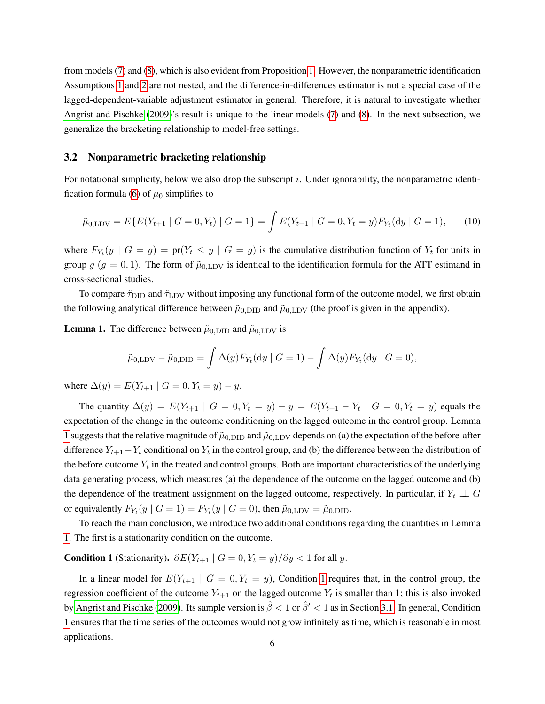from models [\(7\)](#page-4-0) and [\(8\)](#page-4-1), which is also evident from Proposition [1.](#page-4-3) However, the nonparametric identification Assumptions [1](#page-2-0) and [2](#page-3-1) are not nested, and the difference-in-differences estimator is not a special case of the lagged-dependent-variable adjustment estimator in general. Therefore, it is natural to investigate whether [Angrist and Pischke](#page-12-0) [\(2009\)](#page-12-0)'s result is unique to the linear models [\(7\)](#page-4-0) and [\(8\)](#page-4-1). In the next subsection, we generalize the bracketing relationship to model-free settings.

#### 3.2 Nonparametric bracketing relationship

For notational simplicity, below we also drop the subscript  $i$ . Under ignorability, the nonparametric identi-fication formula [\(6\)](#page-3-0) of  $\mu_0$  simplifies to

<span id="page-5-2"></span>
$$
\tilde{\mu}_{0,\text{LDV}} = E\{E(Y_{t+1} \mid G=0, Y_t) \mid G=1\} = \int E(Y_{t+1} \mid G=0, Y_t = y) F_{Y_t}(\text{d}y \mid G=1),\tag{10}
$$

where  $F_{Y_t}(y \mid G = g) = \text{pr}(Y_t \leq y \mid G = g)$  is the cumulative distribution function of  $Y_t$  for units in group  $g$  ( $g = 0, 1$ ). The form of  $\tilde{\mu}_{0,LDV}$  is identical to the identification formula for the ATT estimand in cross-sectional studies.

To compare  $\tilde{\tau}_{\text{DID}}$  and  $\tilde{\tau}_{\text{LDV}}$  without imposing any functional form of the outcome model, we first obtain the following analytical difference between  $\tilde{\mu}_{0,\text{DID}}$  and  $\tilde{\mu}_{0,\text{LDV}}$  (the proof is given in the appendix).

<span id="page-5-0"></span>**Lemma 1.** The difference between  $\tilde{\mu}_{0,\text{DID}}$  and  $\tilde{\mu}_{0,\text{LDV}}$  is

$$
\tilde{\mu}_{0,\text{LDV}} - \tilde{\mu}_{0,\text{DID}} = \int \Delta(y) F_{Y_t}(\text{d}y \mid G = 1) - \int \Delta(y) F_{Y_t}(\text{d}y \mid G = 0),
$$

where  $\Delta(y) = E(Y_{t+1} | G = 0, Y_t = y) - y$ .

The quantity  $\Delta(y) = E(Y_{t+1} | G = 0, Y_t = y) - y = E(Y_{t+1} - Y_t | G = 0, Y_t = y)$  equals the expectation of the change in the outcome conditioning on the lagged outcome in the control group. Lemma [1](#page-5-0) suggests that the relative magnitude of  $\tilde{\mu}_{0,\text{DID}}$  and  $\tilde{\mu}_{0,\text{LDV}}$  depends on (a) the expectation of the before-after difference  $Y_{t+1}-Y_t$  conditional on  $Y_t$  in the control group, and (b) the difference between the distribution of the before outcome  $Y_t$  in the treated and control groups. Both are important characteristics of the underlying data generating process, which measures (a) the dependence of the outcome on the lagged outcome and (b) the dependence of the treatment assignment on the lagged outcome, respectively. In particular, if  $Y_t \perp \!\!\! \perp G$ or equivalently  $F_{Y_t}(y \mid G = 1) = F_{Y_t}(y \mid G = 0)$ , then  $\tilde{\mu}_{0, \text{LDV}} = \tilde{\mu}_{0, \text{DID}}$ .

To reach the main conclusion, we introduce two additional conditions regarding the quantities in Lemma [1.](#page-5-0) The first is a stationarity condition on the outcome.

<span id="page-5-1"></span>**Condition 1** (Stationarity).  $\partial E(Y_{t+1} | G = 0, Y_t = y)/\partial y < 1$  for all y.

In a linear model for  $E(Y_{t+1} | G = 0, Y_t = y)$ , Condition [1](#page-5-1) requires that, in the control group, the regression coefficient of the outcome  $Y_{t+1}$  on the lagged outcome  $Y_t$  is smaller than 1; this is also invoked by [Angrist and Pischke](#page-12-0) [\(2009\)](#page-12-0). Its sample version is  $\hat{\beta} < 1$  or  $\hat{\beta}' < 1$  as in Section [3.1.](#page-4-4) In general, Condition [1](#page-5-1) ensures that the time series of the outcomes would not grow infinitely as time, which is reasonable in most applications. <sup>6</sup>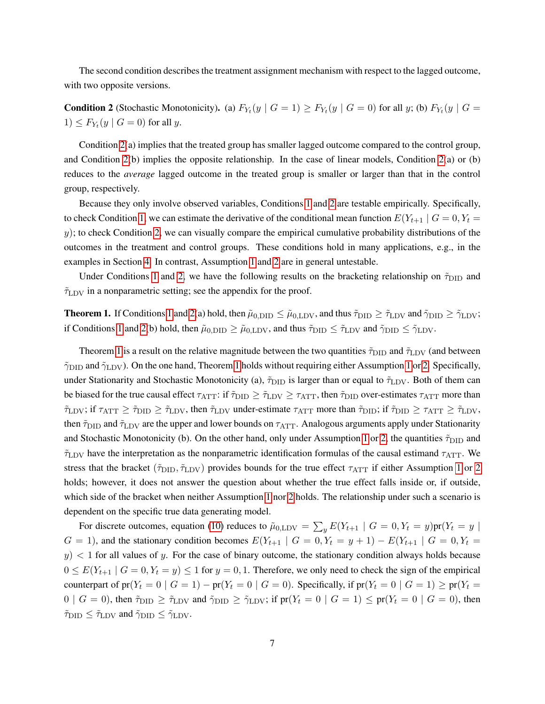The second condition describes the treatment assignment mechanism with respect to the lagged outcome, with two opposite versions.

<span id="page-6-0"></span>**Condition 2** (Stochastic Monotonicity). (a)  $F_{Y_t}(y \mid G = 1) \ge F_{Y_t}(y \mid G = 0)$  for all y; (b)  $F_{Y_t}(y \mid G = 1)$  $1) \leq F_{Y_t}(y \mid G = 0)$  for all y.

Condition [2\(](#page-6-0)a) implies that the treated group has smaller lagged outcome compared to the control group, and Condition [2\(](#page-6-0)b) implies the opposite relationship. In the case of linear models, Condition [2\(](#page-6-0)a) or (b) reduces to the *average* lagged outcome in the treated group is smaller or larger than that in the control group, respectively.

Because they only involve observed variables, Conditions [1](#page-5-1) and [2](#page-6-0) are testable empirically. Specifically, to check Condition [1,](#page-5-1) we can estimate the derivative of the conditional mean function  $E(Y_{t+1} | G = 0, Y_t = 0)$  $y$ ); to check Condition [2,](#page-6-0) we can visually compare the empirical cumulative probability distributions of the outcomes in the treatment and control groups. These conditions hold in many applications, e.g., in the examples in Section [4.](#page-7-0) In contrast, Assumption [1](#page-2-0) and [2](#page-3-1) are in general untestable.

Under Conditions [1](#page-5-1) and [2,](#page-6-0) we have the following results on the bracketing relationship on  $\tilde{\tau}_{\text{DID}}$  and  $\tilde{\tau}_{\text{LDV}}$  in a nonparametric setting; see the appendix for the proof.

<span id="page-6-1"></span>**Theorem [1](#page-5-1).** If Conditions 1 and [2\(](#page-6-0)a) hold, then  $\tilde{\mu}_{0,\text{DID}} \leq \tilde{\mu}_{0,\text{LDV}}$ , and thus  $\tilde{\tau}_{\text{DID}} \geq \tilde{\tau}_{\text{LDV}}$  and  $\tilde{\gamma}_{\text{DID}} \geq \tilde{\gamma}_{\text{LDV}}$ ; if Conditions [1](#page-5-1) and [2\(](#page-6-0)b) hold, then  $\tilde{\mu}_{0,\text{DID}} \ge \tilde{\mu}_{0,\text{LDV}}$ , and thus  $\tilde{\tau}_{\text{DID}} \le \tilde{\tau}_{\text{LDV}}$  and  $\tilde{\gamma}_{\text{DID}} \le \tilde{\gamma}_{\text{LDV}}$ .

Theorem [1](#page-6-1) is a result on the relative magnitude between the two quantities  $\tilde{\tau}_{\text{DID}}$  and  $\tilde{\tau}_{\text{LDV}}$  (and between  $\tilde{\gamma}_{\text{DID}}$  and  $\tilde{\gamma}_{\text{LDV}}$ ). On the one hand, Theorem [1](#page-2-0) holds without requiring either Assumption 1 or [2.](#page-3-1) Specifically, under Stationarity and Stochastic Monotonicity (a),  $\tilde{\tau}_{\text{DID}}$  is larger than or equal to  $\tilde{\tau}_{\text{LDV}}$ . Both of them can be biased for the true causal effect  $\tau_{\text{ATT}}$ : if  $\tilde{\tau}_{\text{DID}} \ge \tilde{\tau}_{\text{LDV}} \ge \tau_{\text{ATT}}$ , then  $\tilde{\tau}_{\text{DID}}$  over-estimates  $\tau_{\text{ATT}}$  more than  $\tilde{\tau}_{\text{LDV}}$ ; if  $\tau_{\text{ATT}} \geq \tilde{\tau}_{\text{DD}} \geq \tilde{\tau}_{\text{LDV}}$ , then  $\tilde{\tau}_{\text{LDV}}$  under-estimate  $\tau_{\text{ATT}}$  more than  $\tilde{\tau}_{\text{DID}}$ ; if  $\tilde{\tau}_{\text{DID}} \geq \tau_{\text{ATT}} \geq \tilde{\tau}_{\text{LDV}}$ , then  $\tilde{\tau}_{\text{DID}}$  and  $\tilde{\tau}_{\text{LDV}}$  are the upper and lower bounds on  $\tau_{\text{ATT}}$ . Analogous arguments apply under Stationarity and Stochastic Monotonicity (b). On the other hand, only under Assumption [1](#page-2-0) or [2,](#page-3-1) the quantities  $\tilde{\tau}_{\text{DID}}$  and  $\tilde{\tau}_{\text{LDV}}$  have the interpretation as the nonparametric identification formulas of the causal estimand  $\tau_{\text{ATT}}$ . We stress that the bracket ( $\tilde{\tau}_{\text{DID}}, \tilde{\tau}_{\text{LDV}}$ ) provides bounds for the true effect  $\tau_{\text{ATT}}$  if either Assumption [1](#page-2-0) or [2](#page-3-1) holds; however, it does not answer the question about whether the true effect falls inside or, if outside, which side of the bracket when neither Assumption [1](#page-2-0) nor [2](#page-3-1) holds. The relationship under such a scenario is dependent on the specific true data generating model.

For discrete outcomes, equation [\(10\)](#page-5-2) reduces to  $\tilde{\mu}_{0, \text{LDV}} = \sum_{y} E(Y_{t+1} | G = 0, Y_t = y)$  pr $(Y_t = y |$  $G = 1$ ), and the stationary condition becomes  $E(Y_{t+1} | G = 0, Y_t = y + 1) - E(Y_{t+1} | G = 0, Y_t = y + 1)$  $y$   $\leq$  1 for all values of y. For the case of binary outcome, the stationary condition always holds because  $0 \le E(Y_{t+1} \mid G = 0, Y_t = y) \le 1$  for  $y = 0, 1$ . Therefore, we only need to check the sign of the empirical counterpart of  $pr(Y_t = 0 \mid G = 1) - pr(Y_t = 0 \mid G = 0)$ . Specifically, if  $pr(Y_t = 0 \mid G = 1) \ge pr(Y_t = 0)$  $0 \mid G = 0$ ), then  $\tilde{\tau}_{\text{DID}} \geq \tilde{\tau}_{\text{LDV}}$  and  $\tilde{\gamma}_{\text{DID}} \geq \tilde{\gamma}_{\text{LDV}}$ ; if  $\text{pr}(Y_t = 0 \mid G = 1) \leq \text{pr}(Y_t = 0 \mid G = 0)$ , then  $\tilde{\tau}_{\text{DID}} \leq \tilde{\tau}_{\text{LDV}}$  and  $\tilde{\gamma}_{\text{DID}} \leq \tilde{\gamma}_{\text{LDV}}$ .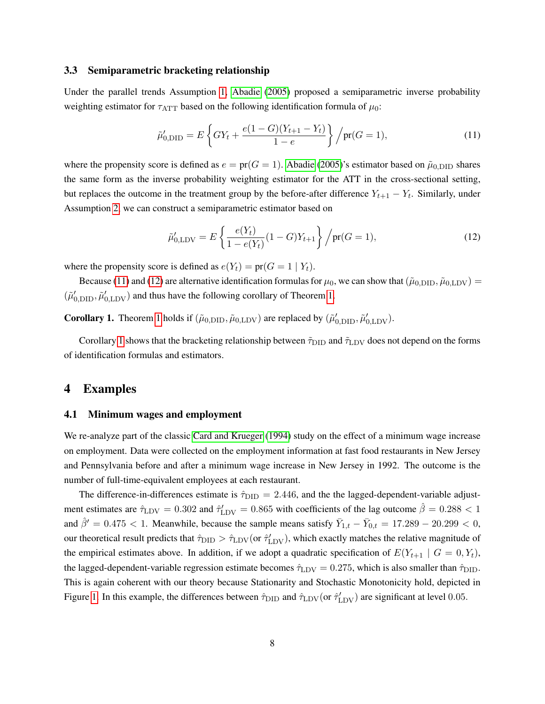## 3.3 Semiparametric bracketing relationship

Under the parallel trends Assumption [1,](#page-2-0) [Abadie](#page-11-0) [\(2005\)](#page-11-0) proposed a semiparametric inverse probability weighting estimator for  $\tau_{\text{ATT}}$  based on the following identification formula of  $\mu_0$ :

<span id="page-7-1"></span>
$$
\tilde{\mu}'_{0,\text{DID}} = E \left\{ GY_t + \frac{e(1 - G)(Y_{t+1} - Y_t)}{1 - e} \right\} / \text{pr}(G = 1),\tag{11}
$$

where the propensity score is defined as  $e = \text{pr}(G = 1)$ . [Abadie](#page-11-0) [\(2005\)](#page-11-0)'s estimator based on  $\tilde{\mu}_{0,\text{DID}}$  shares the same form as the inverse probability weighting estimator for the ATT in the cross-sectional setting, but replaces the outcome in the treatment group by the before-after difference  $Y_{t+1} - Y_t$ . Similarly, under Assumption [2,](#page-3-1) we can construct a semiparametric estimator based on

<span id="page-7-2"></span>
$$
\tilde{\mu}'_{0,\text{LDV}} = E\left\{\frac{e(Y_t)}{1 - e(Y_t)}(1 - G)Y_{t+1}\right\} / \text{pr}(G = 1),\tag{12}
$$

where the propensity score is defined as  $e(Y_t) = \text{pr}(G = 1 | Y_t)$ .

Because [\(11\)](#page-7-1) and [\(12\)](#page-7-2) are alternative identification formulas for  $\mu_0$ , we can show that  $(\tilde{\mu}_{0,\text{DID}}, \tilde{\mu}_{0,\text{LDV}})$  =  $(\tilde{\mu}'_{0,\text{DID}}, \tilde{\mu}'_{0,\text{LDV}})$  and thus have the following corollary of Theorem [1.](#page-6-1)

<span id="page-7-3"></span>**Corollary [1](#page-6-1).** Theorem 1 holds if  $(\tilde{\mu}_{0,\text{DID}}, \tilde{\mu}_{0,\text{LDV}})$  are replaced by  $(\tilde{\mu}'_{0,\text{DID}}, \tilde{\mu}'_{0,\text{LDV}})$ .

Corollary [1](#page-7-3) shows that the bracketing relationship between  $\tilde{\tau}_{\text{DID}}$  and  $\tilde{\tau}_{\text{LDV}}$  does not depend on the forms of identification formulas and estimators.

## <span id="page-7-0"></span>4 Examples

## 4.1 Minimum wages and employment

We re-analyze part of the classic [Card and Krueger](#page-12-14) [\(1994\)](#page-12-14) study on the effect of a minimum wage increase on employment. Data were collected on the employment information at fast food restaurants in New Jersey and Pennsylvania before and after a minimum wage increase in New Jersey in 1992. The outcome is the number of full-time-equivalent employees at each restaurant.

The difference-in-differences estimate is  $\hat{\tau}_{\text{DID}} = 2.446$ , and the the lagged-dependent-variable adjustment estimates are  $\hat{\tau}_{\text{LDV}} = 0.302$  and  $\hat{\tau}'_{\text{LDV}} = 0.865$  with coefficients of the lag outcome  $\hat{\beta} = 0.288 < 1$ and  $\hat{\beta}' = 0.475 < 1$ . Meanwhile, because the sample means satisfy  $\bar{Y}_{1,t} - \bar{Y}_{0,t} = 17.289 - 20.299 < 0$ , our theoretical result predicts that  $\hat{\tau}_{\text{DID}} > \hat{\tau}_{\text{LDV}}$  (or  $\hat{\tau}'_{\text{LDV}}$ ), which exactly matches the relative magnitude of the empirical estimates above. In addition, if we adopt a quadratic specification of  $E(Y_{t+1} | G = 0, Y_t)$ , the lagged-dependent-variable regression estimate becomes  $\hat{\tau}_{\text{LDV}} = 0.275$ , which is also smaller than  $\hat{\tau}_{\text{DID}}$ . This is again coherent with our theory because Stationarity and Stochastic Monotonicity hold, depicted in Figure [1.](#page-8-0) In this example, the differences between  $\hat{\tau}_{\text{DID}}$  and  $\hat{\tau}_{\text{LDV}}$  (or  $\hat{\tau}'_{\text{LDV}}$ ) are significant at level 0.05.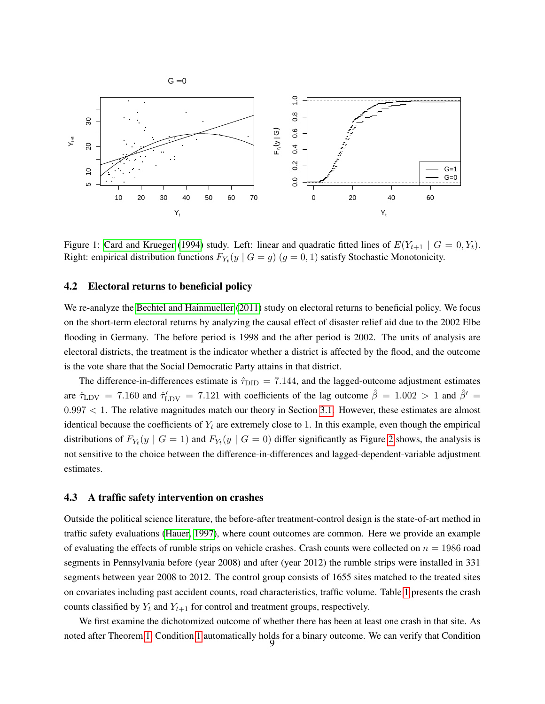

<span id="page-8-0"></span>Figure 1: [Card and Krueger](#page-12-14) [\(1994\)](#page-12-14) study. Left: linear and quadratic fitted lines of  $E(Y_{t+1} | G = 0, Y_t)$ . Right: empirical distribution functions  $F_{Y_t}(y \mid G = g)$   $(g = 0, 1)$  satisfy Stochastic Monotonicity.

## 4.2 Electoral returns to beneficial policy

We re-analyze the [Bechtel and Hainmueller](#page-12-4) [\(2011\)](#page-12-4) study on electoral returns to beneficial policy. We focus on the short-term electoral returns by analyzing the causal effect of disaster relief aid due to the 2002 Elbe flooding in Germany. The before period is 1998 and the after period is 2002. The units of analysis are electoral districts, the treatment is the indicator whether a district is affected by the flood, and the outcome is the vote share that the Social Democratic Party attains in that district.

The difference-in-differences estimate is  $\hat{\tau}_{\text{DID}} = 7.144$ , and the lagged-outcome adjustment estimates are  $\hat{\tau}_{\text{LDV}} = 7.160$  and  $\hat{\tau}'_{\text{LDV}} = 7.121$  with coefficients of the lag outcome  $\hat{\beta} = 1.002 > 1$  and  $\hat{\beta}' =$  $0.997 < 1$ . The relative magnitudes match our theory in Section [3.1.](#page-4-4) However, these estimates are almost identical because the coefficients of  $Y_t$  are extremely close to 1. In this example, even though the empirical distributions of  $F_{Y_t}(y \mid G = 1)$  and  $F_{Y_t}(y \mid G = 0)$  differ significantly as Figure [2](#page-9-0) shows, the analysis is not sensitive to the choice between the difference-in-differences and lagged-dependent-variable adjustment estimates.

#### 4.3 A traffic safety intervention on crashes

Outside the political science literature, the before-after treatment-control design is the state-of-art method in traffic safety evaluations [\(Hauer, 1997\)](#page-12-10), where count outcomes are common. Here we provide an example of evaluating the effects of rumble strips on vehicle crashes. Crash counts were collected on  $n = 1986$  road segments in Pennsylvania before (year 2008) and after (year 2012) the rumble strips were installed in 331 segments between year 2008 to 2012. The control group consists of 1655 sites matched to the treated sites on covariates including past accident counts, road characteristics, traffic volume. Table [1](#page-9-1) presents the crash counts classified by  $Y_t$  and  $Y_{t+1}$  for control and treatment groups, respectively.

We first examine the dichotomized outcome of whether there has been at least one crash in that site. As noted after Theorem [1,](#page-6-1) Condition [1](#page-5-1) automatically holds for a binary outcome. We can verify that Condition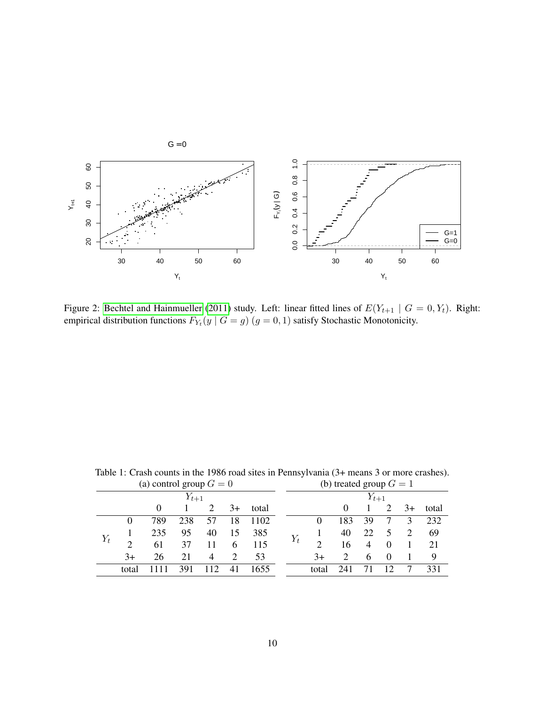

<span id="page-9-0"></span>Figure 2: [Bechtel and Hainmueller](#page-12-4) [\(2011\)](#page-12-4) study. Left: linear fitted lines of  $E(Y_{t+1} \mid G = 0, Y_t)$ . Right: empirical distribution functions  $F_{Y_t}(y \mid G = g)$   $(g = 0, 1)$  satisfy Stochastic Monotonicity.

| (a) control group $G = 0$ |           |          |     |                |      |       |       | (b) treated group $G = 1$   |                             |     |          |   |      |       |  |
|---------------------------|-----------|----------|-----|----------------|------|-------|-------|-----------------------------|-----------------------------|-----|----------|---|------|-------|--|
|                           | $Y_{t+1}$ |          |     |                |      |       |       | $Y_{t+1}$                   |                             |     |          |   |      |       |  |
|                           |           | $\Omega$ |     | 2              | $3+$ | total |       |                             |                             |     |          |   | $3+$ | total |  |
| $Y_t$                     | $\theta$  | 789      | 238 | 57             | 18   | 1102  |       |                             | $\theta$                    | 183 | 39       |   | 3    | 232   |  |
|                           |           | 235      | 95  | 40             | 15   | 385   | $Y_t$ |                             | 40                          | 22  | 5        | 2 | 69   |       |  |
|                           | 2         | 61       | 37  | 11             | 6    | 115   |       | $\mathcal{D}_{\mathcal{L}}$ | 16                          | 4   | $\Omega$ |   | 21   |       |  |
|                           | $3+$      | 26       | 21  | $\overline{4}$ |      | 53    |       | $3+$                        | $\mathcal{D}_{\mathcal{L}}$ | 6   | $\Omega$ |   | 9    |       |  |
|                           | total     |          | 391 | 112            | 41   | 1655  |       |                             | total                       | 241 |          |   |      | 331   |  |
|                           |           |          |     |                |      |       |       |                             |                             |     |          |   |      |       |  |

<span id="page-9-1"></span>Table 1: Crash counts in the 1986 road sites in Pennsylvania (3+ means 3 or more crashes).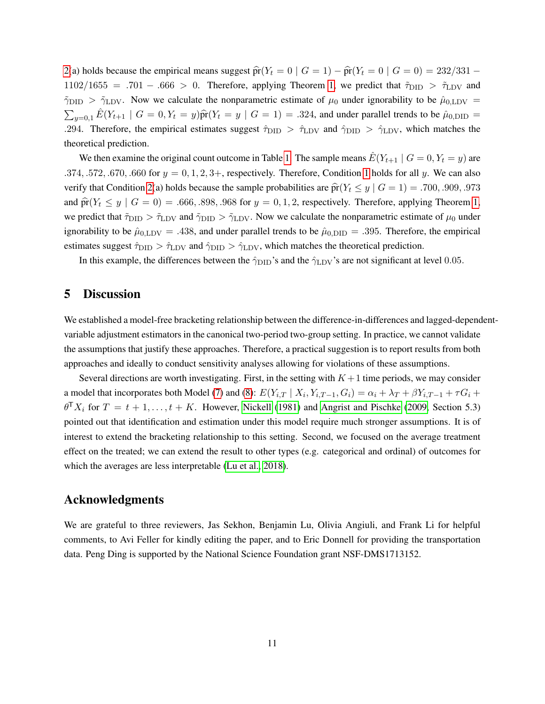[2\(](#page-6-0)a) holds because the empirical means suggest  $\hat{pr}(Y_t = 0 | G = 1) - \hat{pr}(Y_t = 0 | G = 0) = 232/331$  –  $1102/1655 = .701 - .666 > 0$ . Therefore, applying Theorem [1,](#page-6-1) we predict that  $\tilde{\tau}_{\text{DID}} > \tilde{\tau}_{\text{LDV}}$  and  $\tilde{\gamma}_{\text{DID}} > \tilde{\gamma}_{\text{LDV}}$ . Now we calculate the nonparametric estimate of  $\mu_0$  under ignorability to be  $\hat{\mu}_{0,\text{LDV}} =$  $\sum_{y=0,1} \hat{E}(Y_{t+1} | G = 0, Y_t = y) \hat{\text{pr}}(Y_t = y | G = 1) = .324$ , and under parallel trends to be  $\hat{\mu}_{0,\text{DID}} =$ .294. Therefore, the empirical estimates suggest  $\hat{\tau}_{\text{DID}} > \hat{\tau}_{\text{LDV}}$  and  $\hat{\gamma}_{\text{DID}} > \hat{\gamma}_{\text{LDV}}$ , which matches the theoretical prediction.

We then examine the original count outcome in Table [1.](#page-9-1) The sample means  $\hat{E}(Y_{t+1} | G = 0, Y_t = y)$  are .374, .572, .670, .660 for  $y = 0, 1, 2, 3$  $y = 0, 1, 2, 3$  $y = 0, 1, 2, 3$ +, respectively. Therefore, Condition 1 holds for all y. We can also verify that Condition [2\(](#page-6-0)a) holds because the sample probabilities are  $\hat{pr}(Y_t \leq y \mid G = 1) = .700, .909, .973$ and  $\hat{\text{pr}}(Y_t \leq y \mid G = 0) = .666, .898, .968$  for  $y = 0, 1, 2$  $y = 0, 1, 2$  $y = 0, 1, 2$ , respectively. Therefore, applying Theorem 1, we predict that  $\tilde{\tau}_{\text{DID}} > \tilde{\tau}_{\text{LDV}}$  and  $\tilde{\gamma}_{\text{DID}} > \tilde{\gamma}_{\text{LDV}}$ . Now we calculate the nonparametric estimate of  $\mu_0$  under ignorability to be  $\hat{\mu}_{0,\text{LDV}} = .438$ , and under parallel trends to be  $\hat{\mu}_{0,\text{DID}} = .395$ . Therefore, the empirical estimates suggest  $\hat{\tau}_{\text{DID}} > \hat{\tau}_{\text{LDV}}$  and  $\hat{\gamma}_{\text{DID}} > \hat{\gamma}_{\text{LDV}}$ , which matches the theoretical prediction.

In this example, the differences between the  $\hat{\gamma}_{\text{DID}}$ 's and the  $\hat{\gamma}_{\text{LDV}}$ 's are not significant at level 0.05.

# 5 Discussion

We established a model-free bracketing relationship between the difference-in-differences and lagged-dependentvariable adjustment estimators in the canonical two-period two-group setting. In practice, we cannot validate the assumptions that justify these approaches. Therefore, a practical suggestion is to report results from both approaches and ideally to conduct sensitivity analyses allowing for violations of these assumptions.

Several directions are worth investigating. First, in the setting with  $K + 1$  time periods, we may consider a model that incorporates both Model [\(7\)](#page-4-0) and [\(8\)](#page-4-1):  $E(Y_{i,T} | X_i, Y_{i,T-1}, G_i) = \alpha_i + \lambda_T + \beta Y_{i,T-1} + \tau G_i +$  $\theta^{T}X_i$  for  $T = t + 1, ..., t + K$ . However, [Nickell](#page-13-8) [\(1981\)](#page-13-8) and [Angrist and Pischke](#page-12-0) [\(2009,](#page-12-0) Section 5.3) pointed out that identification and estimation under this model require much stronger assumptions. It is of interest to extend the bracketing relationship to this setting. Second, we focused on the average treatment effect on the treated; we can extend the result to other types (e.g. categorical and ordinal) of outcomes for which the averages are less interpretable [\(Lu et al., 2018\)](#page-12-15).

# Acknowledgments

We are grateful to three reviewers, Jas Sekhon, Benjamin Lu, Olivia Angiuli, and Frank Li for helpful comments, to Avi Feller for kindly editing the paper, and to Eric Donnell for providing the transportation data. Peng Ding is supported by the National Science Foundation grant NSF-DMS1713152.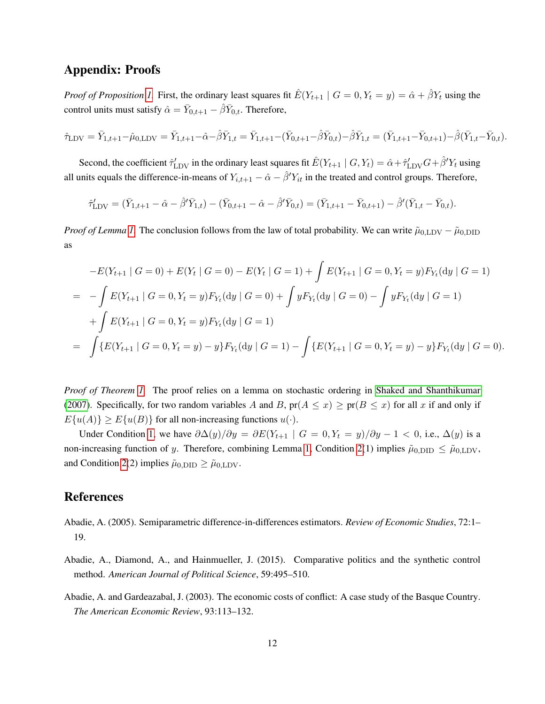# Appendix: Proofs

*Proof of Proposition [1.](#page-4-3)* First, the ordinary least squares fit  $\hat{E}(Y_{t+1} \mid G = 0, Y_t = y) = \hat{\alpha} + \hat{\beta}Y_t$  using the control units must satisfy  $\hat{\alpha} = \bar{Y}_{0,t+1} - \hat{\beta} \bar{Y}_{0,t}$ . Therefore,

$$
\hat{\tau}_{\text{LDV}} = \bar{Y}_{1,t+1} - \hat{\mu}_{0,\text{LDV}} = \bar{Y}_{1,t+1} - \hat{\alpha} - \hat{\beta}\bar{Y}_{1,t} = \bar{Y}_{1,t+1} - (\bar{Y}_{0,t+1} - \hat{\beta}\bar{Y}_{0,t}) - \hat{\beta}\bar{Y}_{1,t} = (\bar{Y}_{1,t+1} - \bar{Y}_{0,t+1}) - \hat{\beta}(\bar{Y}_{1,t} - \bar{Y}_{0,t}).
$$

Second, the coefficient  $\hat{\tau}_{\text{LDV}}'$  in the ordinary least squares fit  $\hat{E}(Y_{t+1} \mid G, Y_t) = \hat{\alpha} + \hat{\tau}_{\text{LDV}}' G + \hat{\beta}' Y_t$  using all units equals the difference-in-means of  $Y_{i,t+1} - \hat{\alpha} - \hat{\beta}' Y_{it}$  in the treated and control groups. Therefore,

$$
\hat{\tau}_{\text{LDV}}' = (\bar{Y}_{1,t+1} - \hat{\alpha} - \hat{\beta}' \bar{Y}_{1,t}) - (\bar{Y}_{0,t+1} - \hat{\alpha} - \hat{\beta}' \bar{Y}_{0,t}) = (\bar{Y}_{1,t+1} - \bar{Y}_{0,t+1}) - \hat{\beta}'(\bar{Y}_{1,t} - \bar{Y}_{0,t}).
$$

*Proof of Lemma [1.](#page-5-0)* The conclusion follows from the law of total probability. We can write  $\tilde{\mu}_{0,\text{LDV}} - \tilde{\mu}_{0,\text{DID}}$ as

$$
-E(Y_{t+1} | G = 0) + E(Y_t | G = 0) - E(Y_t | G = 1) + \int E(Y_{t+1} | G = 0, Y_t = y) F_{Y_t}(\mathrm{d}y | G = 1)
$$
  
= 
$$
- \int E(Y_{t+1} | G = 0, Y_t = y) F_{Y_t}(\mathrm{d}y | G = 0) + \int y F_{Y_t}(\mathrm{d}y | G = 0) - \int y F_{Y_t}(\mathrm{d}y | G = 1)
$$
  
+ 
$$
\int E(Y_{t+1} | G = 0, Y_t = y) F_{Y_t}(\mathrm{d}y | G = 1)
$$
  
= 
$$
\int \{E(Y_{t+1} | G = 0, Y_t = y) - y\} F_{Y_t}(\mathrm{d}y | G = 1) - \int \{E(Y_{t+1} | G = 0, Y_t = y) - y\} F_{Y_t}(\mathrm{d}y | G = 0).
$$

*Proof of Theorem [1.](#page-6-1)* The proof relies on a lemma on stochastic ordering in [Shaked and Shanthikumar](#page-13-9) [\(2007\)](#page-13-9). Specifically, for two random variables A and B,  $pr(A \le x) \ge pr(B \le x)$  for all x if and only if  $E\{u(A)\} \ge E\{u(B)\}\$ for all non-increasing functions  $u(\cdot)$ .

Under Condition [1,](#page-5-1) we have  $\partial \Delta(y)/\partial y = \partial E(Y_{t+1} \mid G = 0, Y_t = y)/\partial y - 1 < 0$ , i.e.,  $\Delta(y)$  is a non-increasing function of y. Therefore, combining Lemma [1,](#page-5-0) Condition [2\(](#page-6-0)1) implies  $\tilde{\mu}_{0,\text{DID}} \leq \tilde{\mu}_{0,\text{LDV}}$ , and Condition [2\(](#page-6-0)2) implies  $\tilde{\mu}_{0,\text{DID}} \ge \tilde{\mu}_{0,\text{LDV}}$ .

# References

- <span id="page-11-0"></span>Abadie, A. (2005). Semiparametric difference-in-differences estimators. *Review of Economic Studies*, 72:1– 19.
- <span id="page-11-2"></span>Abadie, A., Diamond, A., and Hainmueller, J. (2015). Comparative politics and the synthetic control method. *American Journal of Political Science*, 59:495–510.
- <span id="page-11-1"></span>Abadie, A. and Gardeazabal, J. (2003). The economic costs of conflict: A case study of the Basque Country. *The American Economic Review*, 93:113–132.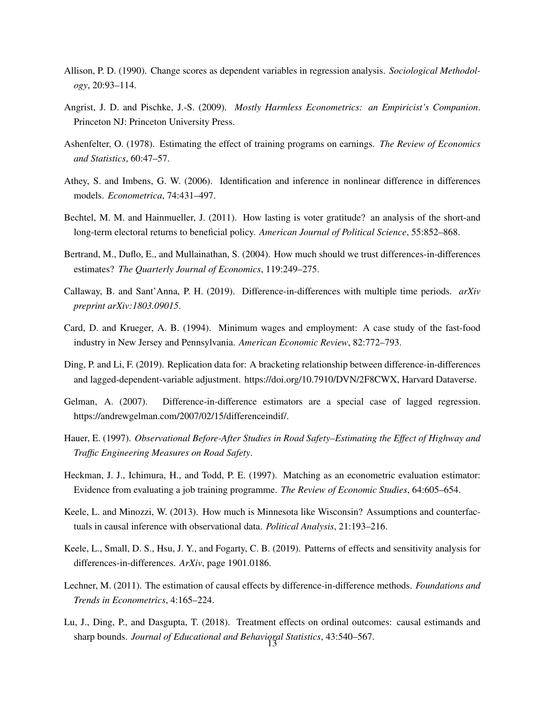- <span id="page-12-9"></span>Allison, P. D. (1990). Change scores as dependent variables in regression analysis. *Sociological Methodology*, 20:93–114.
- <span id="page-12-0"></span>Angrist, J. D. and Pischke, J.-S. (2009). *Mostly Harmless Econometrics: an Empiricist's Companion*. Princeton NJ: Princeton University Press.
- <span id="page-12-2"></span>Ashenfelter, O. (1978). Estimating the effect of training programs on earnings. *The Review of Economics and Statistics*, 60:47–57.
- <span id="page-12-11"></span>Athey, S. and Imbens, G. W. (2006). Identification and inference in nonlinear difference in differences models. *Econometrica*, 74:431–497.
- <span id="page-12-4"></span>Bechtel, M. M. and Hainmueller, J. (2011). How lasting is voter gratitude? an analysis of the short-and long-term electoral returns to beneficial policy. *American Journal of Political Science*, 55:852–868.
- <span id="page-12-3"></span>Bertrand, M., Duflo, E., and Mullainathan, S. (2004). How much should we trust differences-in-differences estimates? *The Quarterly Journal of Economics*, 119:249–275.
- <span id="page-12-7"></span>Callaway, B. and Sant'Anna, P. H. (2019). Difference-in-differences with multiple time periods. *arXiv preprint arXiv:1803.09015*.
- <span id="page-12-14"></span>Card, D. and Krueger, A. B. (1994). Minimum wages and employment: A case study of the fast-food industry in New Jersey and Pennsylvania. *American Economic Review*, 82:772–793.
- <span id="page-12-1"></span>Ding, P. and Li, F. (2019). Replication data for: A bracketing relationship between difference-in-differences and lagged-dependent-variable adjustment. https://doi.org/10.7910/DVN/2F8CWX, Harvard Dataverse.
- <span id="page-12-13"></span>Gelman, A. (2007). Difference-in-difference estimators are a special case of lagged regression. https://andrewgelman.com/2007/02/15/differenceindif/.
- <span id="page-12-10"></span>Hauer, E. (1997). *Observational Before-After Studies in Road Safety–Estimating the Effect of Highway and Traffic Engineering Measures on Road Safety*.
- <span id="page-12-8"></span>Heckman, J. J., Ichimura, H., and Todd, P. E. (1997). Matching as an econometric evaluation estimator: Evidence from evaluating a job training programme. *The Review of Economic Studies*, 64:605–654.
- <span id="page-12-5"></span>Keele, L. and Minozzi, W. (2013). How much is Minnesota like Wisconsin? Assumptions and counterfactuals in causal inference with observational data. *Political Analysis*, 21:193–216.
- <span id="page-12-6"></span>Keele, L., Small, D. S., Hsu, J. Y., and Fogarty, C. B. (2019). Patterns of effects and sensitivity analysis for differences-in-differences. *ArXiv*, page 1901.0186.
- <span id="page-12-12"></span>Lechner, M. (2011). The estimation of causal effects by difference-in-difference methods. *Foundations and Trends in Econometrics*, 4:165–224.
- <span id="page-12-15"></span>Lu, J., Ding, P., and Dasgupta, T. (2018). Treatment effects on ordinal outcomes: causal estimands and sharp bounds. *Journal of Educational and Behavioral Statistics*, 43:540–567. 13